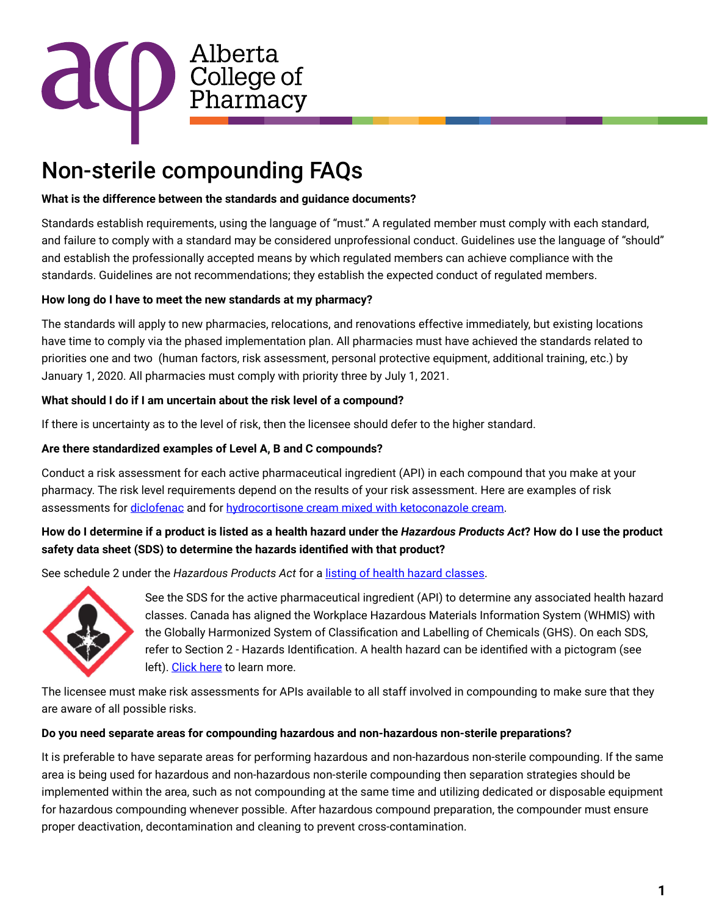

# Non-sterile compounding FAQs

## **What is the difference between the standards and guidance documents?**

Standards establish requirements, using the language of "must." A regulated member must comply with each standard, and failure to comply with a standard may be considered unprofessional conduct. Guidelines use the language of "should" and establish the professionally accepted means by which regulated members can achieve compliance with the standards. Guidelines are not recommendations; they establish the expected conduct of regulated members.

# **How long do I have to meet the new standards at my pharmacy?**

The standards will apply to new pharmacies, relocations, and renovations effective immediately, but existing locations have time to comply via the phased implementation plan. All pharmacies must have achieved the standards related to priorities one and two (human factors, risk assessment, personal protective equipment, additional training, etc.) by January 1, 2020. All pharmacies must comply with priority three by July 1, 2021.

## **What should I do if I am uncertain about the risk level of a compound?**

If there is uncertainty as to the level of risk, then the licensee should defer to the higher standard.

# **Are there standardized examples of Level A, B and C compounds?**

Conduct a risk assessment for each active pharmaceutical ingredient (API) in each compound that you make at your pharmacy. The risk level requirements depend on the results of your risk assessment. Here are examples of risk assessments for [diclofenac](https://abpharmacy.ca/sites/default/files/Compounding_Risk_assessment_1.pdf) and for [hydrocortisone cream mixed with ketoconazole cream.](https://abpharmacy.ca/sites/default/files/Compounding_Risk_assessment_2.pdf)

# **How do I determine if a product is listed as a health hazard under the** *Hazardous Products Act***? How do I use the product safety data sheet (SDS) to determine the hazards identified with that product?**

See schedule 2 under the *Hazardous Products Act* for a [listing of health hazard classes](https://laws-lois.justice.gc.ca/PDF/H-3.pdf).



See the SDS for the active pharmaceutical ingredient (API) to determine any associated health hazard classes. Canada has aligned the Workplace Hazardous Materials Information System (WHMIS) with the Globally Harmonized System of Classification and Labelling of Chemicals (GHS). On each SDS, refer to Section 2 - Hazards Identification. A health hazard can be identified with a pictogram (see left). [Click here](https://www.ccohs.ca/oshanswers/chemicals/whmis_ghs/sds.html) to learn more.

The licensee must make risk assessments for APIs available to all staff involved in compounding to make sure that they are aware of all possible risks.

### **Do you need separate areas for compounding hazardous and non-hazardous non-sterile preparations?**

It is preferable to have separate areas for performing hazardous and non-hazardous non-sterile compounding. If the same area is being used for hazardous and non-hazardous non-sterile compounding then separation strategies should be implemented within the area, such as not compounding at the same time and utilizing dedicated or disposable equipment for hazardous compounding whenever possible. After hazardous compound preparation, the compounder must ensure proper deactivation, decontamination and cleaning to prevent cross-contamination.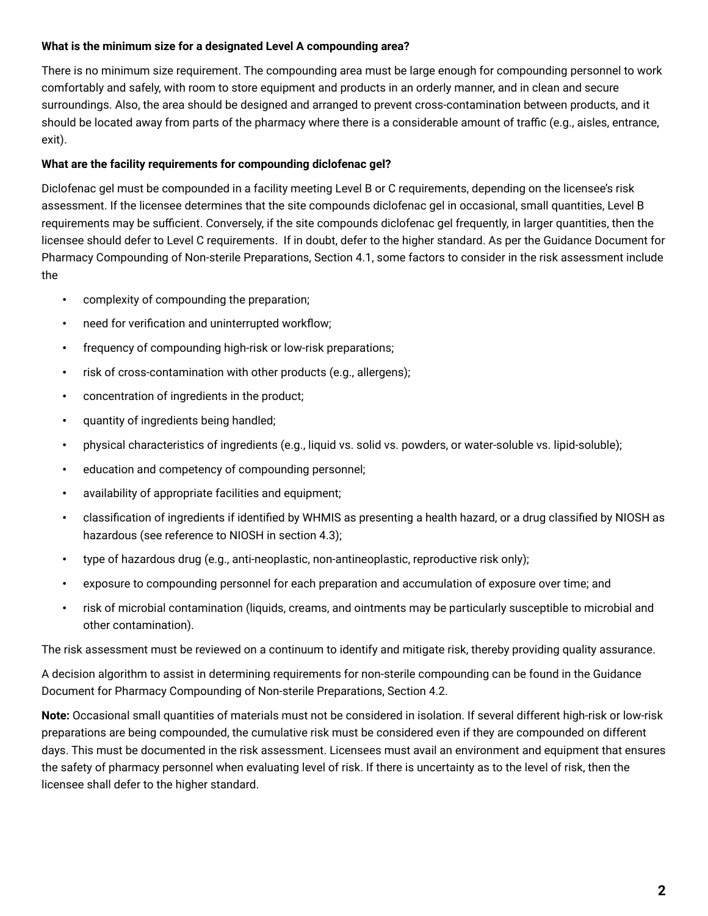### **What is the minimum size for a designated Level A compounding area?**

There is no minimum size requirement. The compounding area must be large enough for compounding personnel to work comfortably and safely, with room to store equipment and products in an orderly manner, and in clean and secure surroundings. Also, the area should be designed and arranged to prevent cross-contamination between products, and it should be located away from parts of the pharmacy where there is a considerable amount of traffic (e.g., aisles, entrance, exit).

## **What are the facility requirements for compounding diclofenac gel?**

Diclofenac gel must be compounded in a facility meeting Level B or C requirements, depending on the licensee's risk assessment. If the licensee determines that the site compounds diclofenac gel in occasional, small quantities, Level B requirements may be sufficient. Conversely, if the site compounds diclofenac gel frequently, in larger quantities, then the licensee should defer to Level C requirements. If in doubt, defer to the higher standard. As per the Guidance Document for Pharmacy Compounding of Non-sterile Preparations, Section 4.1, some factors to consider in the risk assessment include the

- complexity of compounding the preparation;
- need for verification and uninterrupted workflow;
- frequency of compounding high-risk or low-risk preparations;
- risk of cross-contamination with other products (e.g., allergens);
- concentration of ingredients in the product;
- quantity of ingredients being handled;
- physical characteristics of ingredients (e.g., liquid vs. solid vs. powders, or water-soluble vs. lipid-soluble);
- education and competency of compounding personnel;
- availability of appropriate facilities and equipment;
- classification of ingredients if identified by WHMIS as presenting a health hazard, or a drug classified by NIOSH as hazardous (see reference to NIOSH in section 4.3);
- type of hazardous drug (e.g., anti-neoplastic, non-antineoplastic, reproductive risk only);
- exposure to compounding personnel for each preparation and accumulation of exposure over time; and
- risk of microbial contamination (liquids, creams, and ointments may be particularly susceptible to microbial and other contamination).

The risk assessment must be reviewed on a continuum to identify and mitigate risk, thereby providing quality assurance.

A decision algorithm to assist in determining requirements for non-sterile compounding can be found in the Guidance Document for Pharmacy Compounding of Non-sterile Preparations, Section 4.2.

**Note:** Occasional small quantities of materials must not be considered in isolation. If several different high-risk or low-risk preparations are being compounded, the cumulative risk must be considered even if they are compounded on different days. This must be documented in the risk assessment. Licensees must avail an environment and equipment that ensures the safety of pharmacy personnel when evaluating level of risk. If there is uncertainty as to the level of risk, then the licensee shall defer to the higher standard.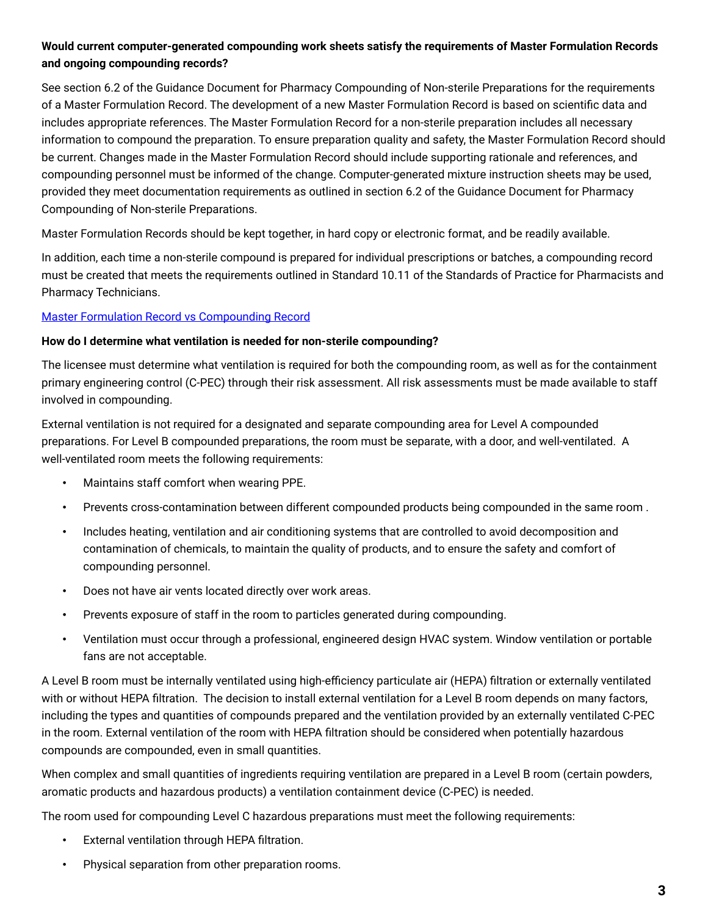# **Would current computer-generated compounding work sheets satisfy the requirements of Master Formulation Records and ongoing compounding records?**

See section 6.2 of the Guidance Document for Pharmacy Compounding of Non-sterile Preparations for the requirements of a Master Formulation Record. The development of a new Master Formulation Record is based on scientific data and includes appropriate references. The Master Formulation Record for a non-sterile preparation includes all necessary information to compound the preparation. To ensure preparation quality and safety, the Master Formulation Record should be current. Changes made in the Master Formulation Record should include supporting rationale and references, and compounding personnel must be informed of the change. Computer-generated mixture instruction sheets may be used, provided they meet documentation requirements as outlined in section 6.2 of the Guidance Document for Pharmacy Compounding of Non-sterile Preparations.

Master Formulation Records should be kept together, in hard copy or electronic format, and be readily available.

In addition, each time a non-sterile compound is prepared for individual prescriptions or batches, a compounding record must be created that meets the requirements outlined in Standard 10.11 of the Standards of Practice for Pharmacists and Pharmacy Technicians.

## [Master Formulation Record vs Compounding Record](https://abpharmacy.ca/sites/default/files/Compounding_MFR_vs_CR.pdf)

### **How do I determine what ventilation is needed for non-sterile compounding?**

The licensee must determine what ventilation is required for both the compounding room, as well as for the containment primary engineering control (C-PEC) through their risk assessment. All risk assessments must be made available to staff involved in compounding.

External ventilation is not required for a designated and separate compounding area for Level A compounded preparations. For Level B compounded preparations, the room must be separate, with a door, and well-ventilated. A well-ventilated room meets the following requirements:

- Maintains staff comfort when wearing PPE.
- Prevents cross-contamination between different compounded products being compounded in the same room .
- Includes heating, ventilation and air conditioning systems that are controlled to avoid decomposition and contamination of chemicals, to maintain the quality of products, and to ensure the safety and comfort of compounding personnel.
- Does not have air vents located directly over work areas.
- Prevents exposure of staff in the room to particles generated during compounding.
- Ventilation must occur through a professional, engineered design HVAC system. Window ventilation or portable fans are not acceptable.

A Level B room must be internally ventilated using high-efficiency particulate air (HEPA) filtration or externally ventilated with or without HEPA filtration. The decision to install external ventilation for a Level B room depends on many factors, including the types and quantities of compounds prepared and the ventilation provided by an externally ventilated C-PEC in the room. External ventilation of the room with HEPA filtration should be considered when potentially hazardous compounds are compounded, even in small quantities.

When complex and small quantities of ingredients requiring ventilation are prepared in a Level B room (certain powders, aromatic products and hazardous products) a ventilation containment device (C-PEC) is needed.

The room used for compounding Level C hazardous preparations must meet the following requirements:

- External ventilation through HEPA filtration.
- Physical separation from other preparation rooms.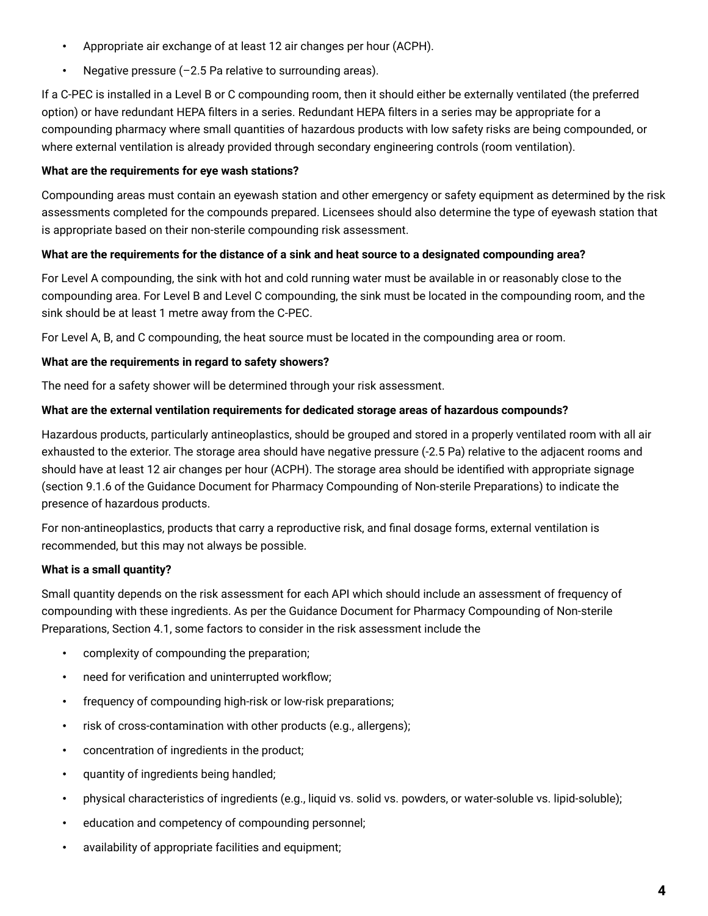- Appropriate air exchange of at least 12 air changes per hour (ACPH).
- Negative pressure  $(-2.5$  Pa relative to surrounding areas).

If a C-PEC is installed in a Level B or C compounding room, then it should either be externally ventilated (the preferred option) or have redundant HEPA filters in a series. Redundant HEPA filters in a series may be appropriate for a compounding pharmacy where small quantities of hazardous products with low safety risks are being compounded, or where external ventilation is already provided through secondary engineering controls (room ventilation).

## **What are the requirements for eye wash stations?**

Compounding areas must contain an eyewash station and other emergency or safety equipment as determined by the risk assessments completed for the compounds prepared. Licensees should also determine the type of eyewash station that is appropriate based on their non-sterile compounding risk assessment.

## **What are the requirements for the distance of a sink and heat source to a designated compounding area?**

For Level A compounding, the sink with hot and cold running water must be available in or reasonably close to the compounding area. For Level B and Level C compounding, the sink must be located in the compounding room, and the sink should be at least 1 metre away from the C-PEC.

For Level A, B, and C compounding, the heat source must be located in the compounding area or room.

## **What are the requirements in regard to safety showers?**

The need for a safety shower will be determined through your risk assessment.

## **What are the external ventilation requirements for dedicated storage areas of hazardous compounds?**

Hazardous products, particularly antineoplastics, should be grouped and stored in a properly ventilated room with all air exhausted to the exterior. The storage area should have negative pressure (-2.5 Pa) relative to the adjacent rooms and should have at least 12 air changes per hour (ACPH). The storage area should be identified with appropriate signage (section 9.1.6 of the Guidance Document for Pharmacy Compounding of Non-sterile Preparations) to indicate the presence of hazardous products.

For non-antineoplastics, products that carry a reproductive risk, and final dosage forms, external ventilation is recommended, but this may not always be possible.

# **What is a small quantity?**

Small quantity depends on the risk assessment for each API which should include an assessment of frequency of compounding with these ingredients. As per the Guidance Document for Pharmacy Compounding of Non-sterile Preparations, Section 4.1, some factors to consider in the risk assessment include the

- complexity of compounding the preparation;
- need for verification and uninterrupted workflow;
- frequency of compounding high-risk or low-risk preparations;
- risk of cross-contamination with other products (e.g., allergens);
- concentration of ingredients in the product;
- quantity of ingredients being handled;
- physical characteristics of ingredients (e.g., liquid vs. solid vs. powders, or water-soluble vs. lipid-soluble);
- education and competency of compounding personnel;
- availability of appropriate facilities and equipment;